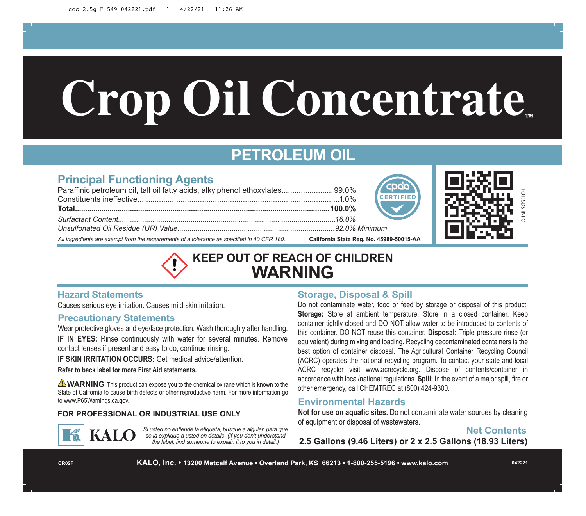# **Crop Oil Concentrate**

## **PETROLEUM OIL**

### **Principal Functioning Agents**

| Paraffinic petroleum oil, tall oil fatty acids, alkylphenol ethoxylates 99.0%               | <b>COOO</b>                              |  |
|---------------------------------------------------------------------------------------------|------------------------------------------|--|
|                                                                                             |                                          |  |
|                                                                                             | $\bigotimes$                             |  |
|                                                                                             |                                          |  |
|                                                                                             |                                          |  |
| All ingredients are exempt from the requirements of a tolerance as specified in 40 CFR 180. | California State Reg. No. 45989-50015-AA |  |



**KEEP OUT OF REACH OF CHILDREN WARNING**

#### **Hazard Statements**

Causes serious eye irritation. Causes mild skin irritation.

#### **Precautionary Statements**

Wear protective gloves and eye/face protection. Wash thoroughly after handling. **IF IN EYES:** Rinse continuously with water for several minutes. Remove contact lenses if present and easy to do, continue rinsing.

**IF SKIN IRRITATION OCCURS:** Get medical advice/attention.

#### **Refer to back label for more First Aid statements.**

**WARNING** This product can expose you to the chemical oxirane which is known to the State of California to cause birth defects or other reproductive harm. For more information go to www.P65Warnings.ca.gov.

#### **FOR PROFESSIONAL OR INDUSTRIAL USE ONLY**



*Si usted no entiende la etiqueta, busque a alguien para que se la explique a usted en detalle. (If you don't understand the label, find someone to explain it to you in detail.)*

#### **Storage, Disposal & Spill**

Do not contaminate water, food or feed by storage or disposal of this product. **Storage:** Store at ambient temperature. Store in a closed container. Keep container tightly closed and DO NOT allow water to be introduced to contents of this container. DO NOT reuse this container. **Disposal:** Triple pressure rinse (or equivalent) during mixing and loading. Recycling decontaminated containers is the best option of container disposal. The Agricultural Container Recycling Council (ACRC) operates the national recycling program. To contact your state and local ACRC recycler visit www.acrecycle.org. Dispose of contents/container in accordance with local/national regulations. **Spill:** In the event of a major spill, fire or other emergency, call CHEMTREC at (800) 424-9300.

#### **Environmental Hazards**

**Not for use on aquatic sites.** Do not contaminate water sources by cleaning of equipment or disposal of wastewaters.

#### **Net Contents**

**2.5 Gallons (9.46 Liters) or 2 x 2.5 Gallons (18.93 Liters)**